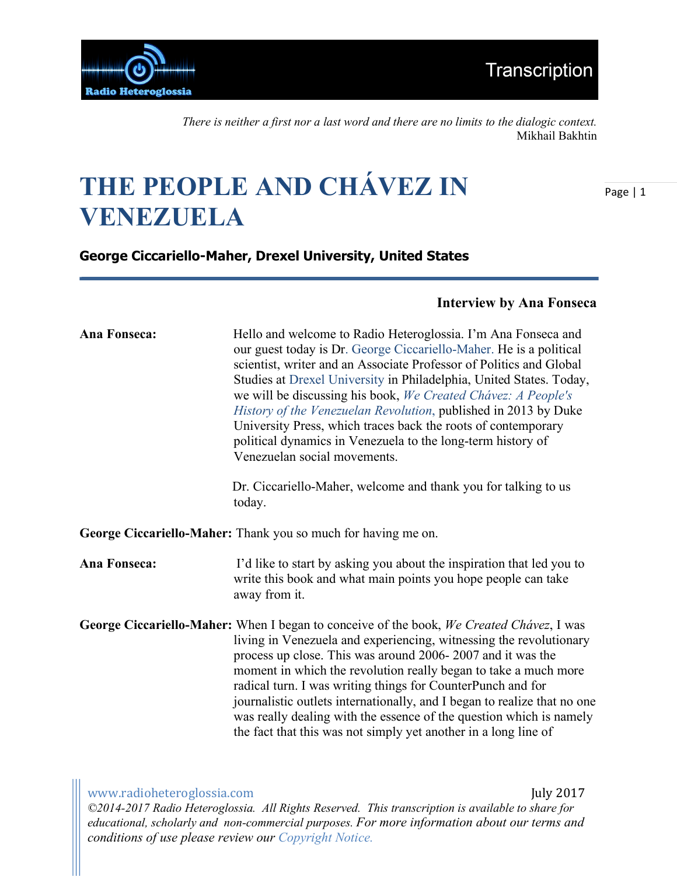

*There is neither a first nor a last word and there are no limits to the dialogic context.*  Mikhail Bakhtin

# **THE PEOPLE AND CHÁVEZ IN VENEZUELA**

Page | 1

**George Ciccariello-Maher, Drexel University, United States** 

### **Interview by Ana Fonseca**

| Ana Fonseca:                                                  | Hello and welcome to Radio Heteroglossia. I'm Ana Fonseca and<br>our guest today is Dr. George Ciccariello-Maher. He is a political<br>scientist, writer and an Associate Professor of Politics and Global<br>Studies at Drexel University in Philadelphia, United States. Today,<br>we will be discussing his book, We Created Chávez: A People's<br>History of the Venezuelan Revolution, published in 2013 by Duke<br>University Press, which traces back the roots of contemporary<br>political dynamics in Venezuela to the long-term history of<br>Venezuelan social movements.<br>Dr. Ciccariello-Maher, welcome and thank you for talking to us |  |
|---------------------------------------------------------------|---------------------------------------------------------------------------------------------------------------------------------------------------------------------------------------------------------------------------------------------------------------------------------------------------------------------------------------------------------------------------------------------------------------------------------------------------------------------------------------------------------------------------------------------------------------------------------------------------------------------------------------------------------|--|
|                                                               | today.                                                                                                                                                                                                                                                                                                                                                                                                                                                                                                                                                                                                                                                  |  |
| George Ciccariello-Maher: Thank you so much for having me on. |                                                                                                                                                                                                                                                                                                                                                                                                                                                                                                                                                                                                                                                         |  |
| <b>Ana Fonseca:</b>                                           | I'd like to start by asking you about the inspiration that led you to<br>write this book and what main points you hope people can take<br>away from it.                                                                                                                                                                                                                                                                                                                                                                                                                                                                                                 |  |
|                                                               | George Ciccariello-Maher: When I began to conceive of the book, We Created Chávez, I was<br>living in Venezuela and experiencing, witnessing the revolutionary<br>process up close. This was around 2006-2007 and it was the<br>moment in which the revolution really began to take a much more<br>radical turn. I was writing things for CounterPunch and for<br>journalistic outlets internationally, and I began to realize that no one<br>was really dealing with the essence of the question which is namely<br>the fact that this was not simply yet another in a long line of                                                                    |  |

www.radioheteroglossia.com **and a comedial comedial comedial comedial comedial comedial comedial comedial comedial comedial comedial comedial comedial comedial comedial comedial comedial comedial comedial comedial comedial** *©2014-2017 Radio Heteroglossia. All Rights Reserved. This transcription is available to share for educational, scholarly and non-commercial purposes. For more information about our terms and conditions of use please review our Copyright Notice.*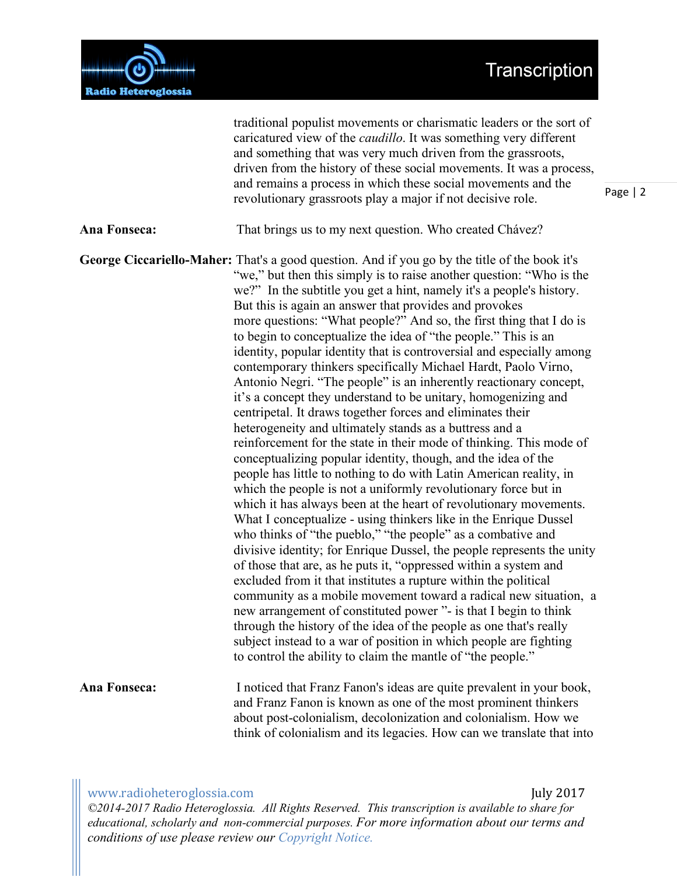# Transcription



|                     | caricatured view of the <i>caudillo</i> . It was something very different<br>and something that was very much driven from the grassroots,<br>driven from the history of these social movements. It was a process,<br>and remains a process in which these social movements and the<br>revolutionary grassroots play a major if not decisive role.                                                                                                                                                                                                                                                                                                                                                                                                                                                                                                                                                                                                                                                                                                                                                                                                                                                                                                                                                                                                                                                                                                                                                                                                                                                                                                                                                                                                                                                                                                                                                                             |
|---------------------|-------------------------------------------------------------------------------------------------------------------------------------------------------------------------------------------------------------------------------------------------------------------------------------------------------------------------------------------------------------------------------------------------------------------------------------------------------------------------------------------------------------------------------------------------------------------------------------------------------------------------------------------------------------------------------------------------------------------------------------------------------------------------------------------------------------------------------------------------------------------------------------------------------------------------------------------------------------------------------------------------------------------------------------------------------------------------------------------------------------------------------------------------------------------------------------------------------------------------------------------------------------------------------------------------------------------------------------------------------------------------------------------------------------------------------------------------------------------------------------------------------------------------------------------------------------------------------------------------------------------------------------------------------------------------------------------------------------------------------------------------------------------------------------------------------------------------------------------------------------------------------------------------------------------------------|
| <b>Ana Fonseca:</b> | That brings us to my next question. Who created Chávez?                                                                                                                                                                                                                                                                                                                                                                                                                                                                                                                                                                                                                                                                                                                                                                                                                                                                                                                                                                                                                                                                                                                                                                                                                                                                                                                                                                                                                                                                                                                                                                                                                                                                                                                                                                                                                                                                       |
|                     | <b>George Ciccariello-Maher:</b> That's a good question. And if you go by the title of the book it's<br>"we," but then this simply is to raise another question: "Who is the<br>we?" In the subtitle you get a hint, namely it's a people's history.<br>But this is again an answer that provides and provokes<br>more questions: "What people?" And so, the first thing that I do is<br>to begin to conceptualize the idea of "the people." This is an<br>identity, popular identity that is controversial and especially among<br>contemporary thinkers specifically Michael Hardt, Paolo Virno,<br>Antonio Negri. "The people" is an inherently reactionary concept,<br>it's a concept they understand to be unitary, homogenizing and<br>centripetal. It draws together forces and eliminates their<br>heterogeneity and ultimately stands as a buttress and a<br>reinforcement for the state in their mode of thinking. This mode of<br>conceptualizing popular identity, though, and the idea of the<br>people has little to nothing to do with Latin American reality, in<br>which the people is not a uniformly revolutionary force but in<br>which it has always been at the heart of revolutionary movements.<br>What I conceptualize - using thinkers like in the Enrique Dussel<br>who thinks of "the pueblo," "the people" as a combative and<br>divisive identity; for Enrique Dussel, the people represents the unity<br>of those that are, as he puts it, "oppressed within a system and<br>excluded from it that institutes a rupture within the political<br>community as a mobile movement toward a radical new situation, a<br>new arrangement of constituted power "- is that I begin to think<br>through the history of the idea of the people as one that's really<br>subject instead to a war of position in which people are fighting<br>to control the ability to claim the mantle of "the people." |
| Ana Fonseca:        | I noticed that Franz Fanon's ideas are quite prevalent in your book,<br>and Franz Fanon is known as one of the most prominent thinkers<br>about post-colonialism, decolonization and colonialism. How we<br>think of colonialism and its legacies. How can we translate that into                                                                                                                                                                                                                                                                                                                                                                                                                                                                                                                                                                                                                                                                                                                                                                                                                                                                                                                                                                                                                                                                                                                                                                                                                                                                                                                                                                                                                                                                                                                                                                                                                                             |

traditional populist movements or charismatic leaders or the sort of

www.radioheteroglossia.com **and a set of the set of the set of the set of the set of the set of the set of the set of the set of the set of the set of the set of the set of the set of the set of the set of the set of the s** 

*©2014-2017 Radio Heteroglossia. All Rights Reserved. This transcription is available to share for educational, scholarly and non-commercial purposes. For more information about our terms and conditions of use please review our Copyright Notice.*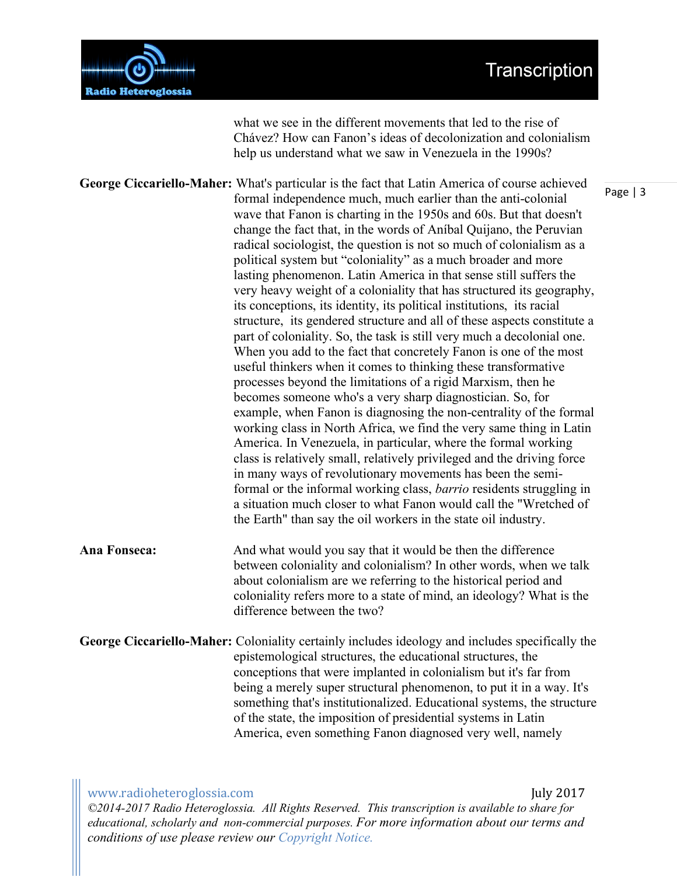

what we see in the different movements that led to the rise of Chávez? How can Fanon's ideas of decolonization and colonialism help us understand what we saw in Venezuela in the 1990s?

**George Ciccariello-Maher:** What's particular is the fact that Latin America of course achieved formal independence much, much earlier than the anti-colonial wave that Fanon is charting in the 1950s and 60s. But that doesn't change the fact that, in the words of Aníbal Quijano, the Peruvian radical sociologist, the question is not so much of colonialism as a political system but "coloniality" as a much broader and more lasting phenomenon. Latin America in that sense still suffers the very heavy weight of a coloniality that has structured its geography, its conceptions, its identity, its political institutions, its racial structure, its gendered structure and all of these aspects constitute a part of coloniality. So, the task is still very much a decolonial one. When you add to the fact that concretely Fanon is one of the most useful thinkers when it comes to thinking these transformative processes beyond the limitations of a rigid Marxism, then he becomes someone who's a very sharp diagnostician. So, for example, when Fanon is diagnosing the non-centrality of the formal working class in North Africa, we find the very same thing in Latin America. In Venezuela, in particular, where the formal working class is relatively small, relatively privileged and the driving force in many ways of revolutionary movements has been the semiformal or the informal working class, *barrio* residents struggling in a situation much closer to what Fanon would call the "Wretched of the Earth" than say the oil workers in the state oil industry. **Ana Fonseca:** And what would you say that it would be then the difference between coloniality and colonialism? In other words, when we talk about colonialism are we referring to the historical period and

coloniality refers more to a state of mind, an ideology? What is the difference between the two? **George Ciccariello-Maher:** Coloniality certainly includes ideology and includes specifically the epistemological structures, the educational structures, the conceptions that were implanted in colonialism but it's far from being a merely super structural phenomenon, to put it in a way. It's something that's institutionalized. Educational systems, the structure

> of the state, the imposition of presidential systems in Latin America, even something Fanon diagnosed very well, namely

www.radioheteroglossia.com July 2017 *©2014-2017 Radio Heteroglossia. All Rights Reserved. This transcription is available to share for educational, scholarly and non-commercial purposes. For more information about our terms and conditions of use please review our Copyright Notice.*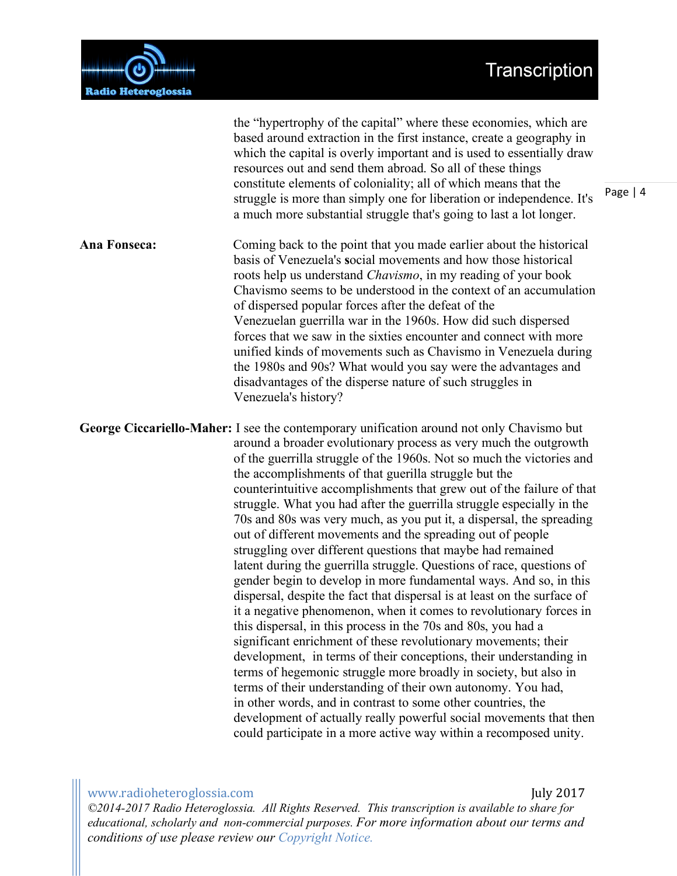

the "hypertrophy of the capital" where these economies, which are based around extraction in the first instance, create a geography in which the capital is overly important and is used to essentially draw resources out and send them abroad. So all of these things constitute elements of coloniality; all of which means that the struggle is more than simply one for liberation or independence. It's a much more substantial struggle that's going to last a lot longer. **Ana Fonseca:** Coming back to the point that you made earlier about the historical basis of Venezuela's **s**ocial movements and how those historical roots help us understand *Chavismo*, in my reading of your book Chavismo seems to be understood in the context of an accumulation of dispersed popular forces after the defeat of the Venezuelan guerrilla war in the 1960s. How did such dispersed forces that we saw in the sixties encounter and connect with more unified kinds of movements such as Chavismo in Venezuela during the 1980s and 90s? What would you say were the advantages and disadvantages of the disperse nature of such struggles in Venezuela's history? **George Ciccariello-Maher:** I see the contemporary unification around not only Chavismo but around a broader evolutionary process as very much the outgrowth of the guerrilla struggle of the 1960s. Not so much the victories and the accomplishments of that guerilla struggle but the counterintuitive accomplishments that grew out of the failure of that struggle. What you had after the guerrilla struggle especially in the 70s and 80s was very much, as you put it, a dispersal, the spreading out of different movements and the spreading out of people struggling over different questions that maybe had remained latent during the guerrilla struggle. Questions of race, questions of gender begin to develop in more fundamental ways. And so, in this dispersal, despite the fact that dispersal is at least on the surface of it a negative phenomenon, when it comes to revolutionary forces in this dispersal, in this process in the 70s and 80s, you had a significant enrichment of these revolutionary movements; their development, in terms of their conceptions, their understanding in terms of hegemonic struggle more broadly in society, but also in terms of their understanding of their own autonomy. You had, in other words, and in contrast to some other countries, the development of actually really powerful social movements that then could participate in a more active way within a recomposed unity.

www.radioheteroglossia.com **and a community a community a community a community a community and a community a control of the UV 2017** *©2014-2017 Radio Heteroglossia. All Rights Reserved. This transcription is available to share for educational, scholarly and non-commercial purposes. For more information about our terms and conditions of use please review our Copyright Notice.*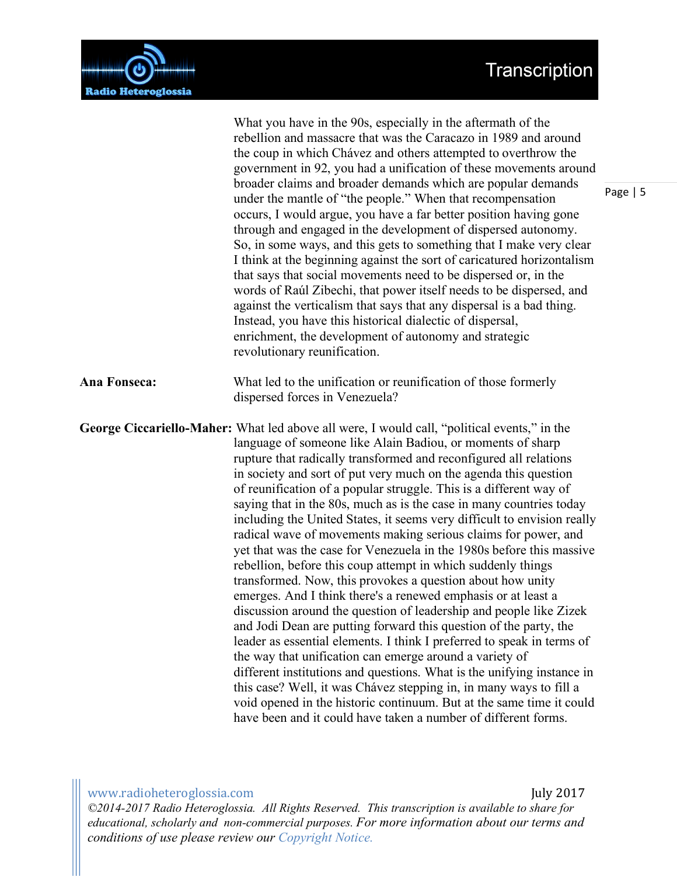## Transcription



|              | What you have in the 90s, especially in the aftermath of the<br>rebellion and massacre that was the Caracazo in 1989 and around<br>the coup in which Chávez and others attempted to overthrow the<br>government in 92, you had a unification of these movements around<br>broader claims and broader demands which are popular demands<br>under the mantle of "the people." When that recompensation<br>occurs, I would argue, you have a far better position having gone<br>through and engaged in the development of dispersed autonomy.<br>So, in some ways, and this gets to something that I make very clear<br>I think at the beginning against the sort of caricatured horizontalism<br>that says that social movements need to be dispersed or, in the<br>words of Raúl Zibechi, that power itself needs to be dispersed, and<br>against the verticalism that says that any dispersal is a bad thing.<br>Instead, you have this historical dialectic of dispersal,<br>enrichment, the development of autonomy and strategic<br>revolutionary reunification.                                                                                                                                                                                                                                                                                                                                                                           |
|--------------|-----------------------------------------------------------------------------------------------------------------------------------------------------------------------------------------------------------------------------------------------------------------------------------------------------------------------------------------------------------------------------------------------------------------------------------------------------------------------------------------------------------------------------------------------------------------------------------------------------------------------------------------------------------------------------------------------------------------------------------------------------------------------------------------------------------------------------------------------------------------------------------------------------------------------------------------------------------------------------------------------------------------------------------------------------------------------------------------------------------------------------------------------------------------------------------------------------------------------------------------------------------------------------------------------------------------------------------------------------------------------------------------------------------------------------------------------|
| Ana Fonseca: | What led to the unification or reunification of those formerly<br>dispersed forces in Venezuela?                                                                                                                                                                                                                                                                                                                                                                                                                                                                                                                                                                                                                                                                                                                                                                                                                                                                                                                                                                                                                                                                                                                                                                                                                                                                                                                                              |
|              | George Ciccariello-Maher: What led above all were, I would call, "political events," in the<br>language of someone like Alain Badiou, or moments of sharp<br>rupture that radically transformed and reconfigured all relations<br>in society and sort of put very much on the agenda this question<br>of reunification of a popular struggle. This is a different way of<br>saying that in the 80s, much as is the case in many countries today<br>including the United States, it seems very difficult to envision really<br>radical wave of movements making serious claims for power, and<br>yet that was the case for Venezuela in the 1980s before this massive<br>rebellion, before this coup attempt in which suddenly things<br>transformed. Now, this provokes a question about how unity<br>emerges. And I think there's a renewed emphasis or at least a<br>discussion around the question of leadership and people like Zizek<br>and Jodi Dean are putting forward this question of the party, the<br>leader as essential elements. I think I preferred to speak in terms of<br>the way that unification can emerge around a variety of<br>different institutions and questions. What is the unifying instance in<br>this case? Well, it was Chávez stepping in, in many ways to fill a<br>void opened in the historic continuum. But at the same time it could<br>have been and it could have taken a number of different forms. |

www.radioheteroglossia.com **and a support of the support of the support of the support of the support of the support of the support of the support of the support of the support of the support of the support of the support** *©2014-2017 Radio Heteroglossia. All Rights Reserved. This transcription is available to share for educational, scholarly and non-commercial purposes. For more information about our terms and conditions of use please review our Copyright Notice.*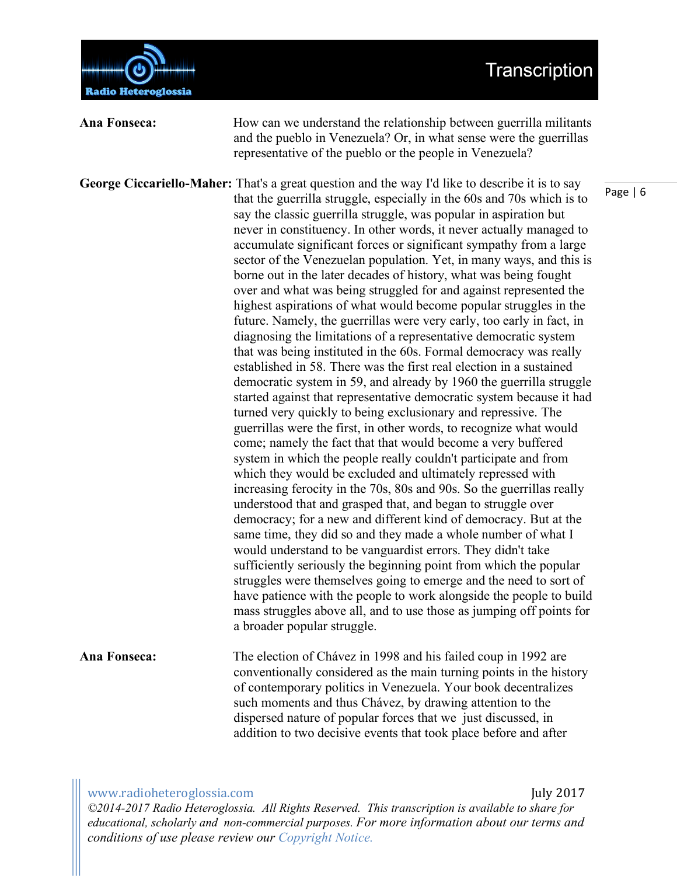



**Ana Fonseca:** How can we understand the relationship between guerrilla militants and the pueblo in Venezuela? Or, in what sense were the guerrillas representative of the pueblo or the people in Venezuela? **George Ciccariello-Maher:** That's a great question and the way I'd like to describe it is to say that the guerrilla struggle, especially in the 60s and 70s which is to say the classic guerrilla struggle, was popular in aspiration but never in constituency. In other words, it never actually managed to accumulate significant forces or significant sympathy from a large sector of the Venezuelan population. Yet, in many ways, and this is borne out in the later decades of history, what was being fought over and what was being struggled for and against represented the highest aspirations of what would become popular struggles in the future. Namely, the guerrillas were very early, too early in fact, in diagnosing the limitations of a representative democratic system that was being instituted in the 60s. Formal democracy was really established in 58. There was the first real election in a sustained democratic system in 59, and already by 1960 the guerrilla struggle started against that representative democratic system because it had turned very quickly to being exclusionary and repressive. The guerrillas were the first, in other words, to recognize what would come; namely the fact that that would become a very buffered system in which the people really couldn't participate and from which they would be excluded and ultimately repressed with increasing ferocity in the 70s, 80s and 90s. So the guerrillas really understood that and grasped that, and began to struggle over democracy; for a new and different kind of democracy. But at the same time, they did so and they made a whole number of what I would understand to be vanguardist errors. They didn't take sufficiently seriously the beginning point from which the popular struggles were themselves going to emerge and the need to sort of have patience with the people to work alongside the people to build mass struggles above all, and to use those as jumping off points for a broader popular struggle. **Ana Fonseca:** The election of Chávez in 1998 and his failed coup in 1992 are conventionally considered as the main turning points in the history of contemporary politics in Venezuela. Your book decentralizes such moments and thus Chávez, by drawing attention to the dispersed nature of popular forces that we just discussed, in addition to two decisive events that took place before and after

www.radioheteroglossia.com July 2017 

*©2014-2017 Radio Heteroglossia. All Rights Reserved. This transcription is available to share for educational, scholarly and non-commercial purposes. For more information about our terms and conditions of use please review our Copyright Notice.*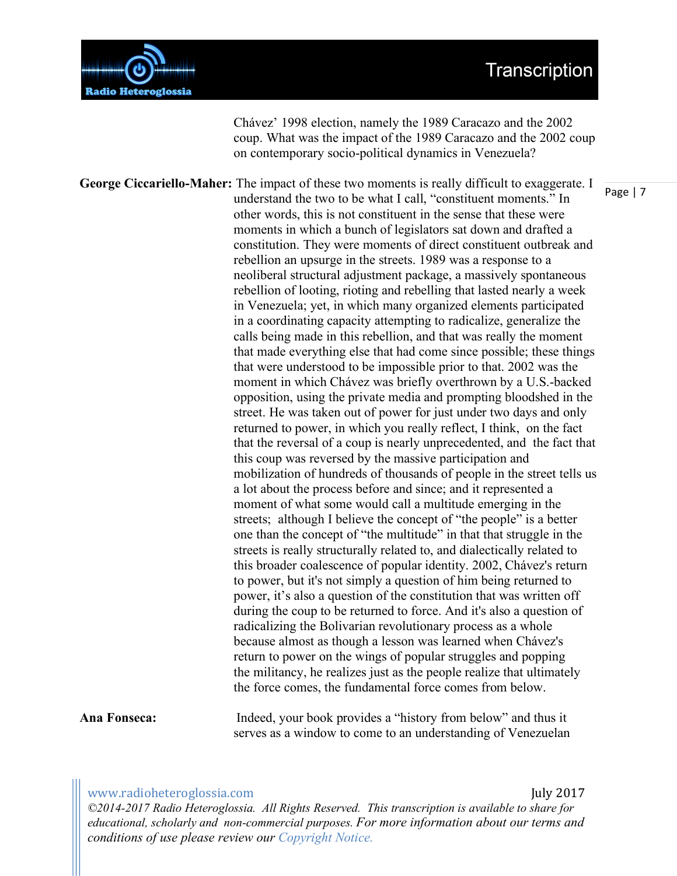### Transcription



Chávez' 1998 election, namely the 1989 Caracazo and the 2002 coup. What was the impact of the 1989 Caracazo and the 2002 coup on contemporary socio-political dynamics in Venezuela?

**George Ciccariello-Maher:** The impact of these two moments is really difficult to exaggerate. I understand the two to be what I call, "constituent moments." In other words, this is not constituent in the sense that these were moments in which a bunch of legislators sat down and drafted a constitution. They were moments of direct constituent outbreak and rebellion an upsurge in the streets. 1989 was a response to a neoliberal structural adjustment package, a massively spontaneous rebellion of looting, rioting and rebelling that lasted nearly a week in Venezuela; yet, in which many organized elements participated in a coordinating capacity attempting to radicalize, generalize the calls being made in this rebellion, and that was really the moment that made everything else that had come since possible; these things that were understood to be impossible prior to that. 2002 was the moment in which Chávez was briefly overthrown by a U.S.-backed opposition, using the private media and prompting bloodshed in the street. He was taken out of power for just under two days and only returned to power, in which you really reflect, I think, on the fact that the reversal of a coup is nearly unprecedented, and the fact that this coup was reversed by the massive participation and mobilization of hundreds of thousands of people in the street tells us a lot about the process before and since; and it represented a moment of what some would call a multitude emerging in the streets; although I believe the concept of "the people" is a better one than the concept of "the multitude" in that that struggle in the streets is really structurally related to, and dialectically related to this broader coalescence of popular identity. 2002, Chávez's return to power, but it's not simply a question of him being returned to power, it's also a question of the constitution that was written off during the coup to be returned to force. And it's also a question of radicalizing the Bolivarian revolutionary process as a whole because almost as though a lesson was learned when Chávez's return to power on the wings of popular struggles and popping the militancy, he realizes just as the people realize that ultimately the force comes, the fundamental force comes from below.

#### **Ana Fonseca:** Indeed, your book provides a "history from below" and thus it serves as a window to come to an understanding of Venezuelan

### www.radioheteroglossia.com July 2017

*©2014-2017 Radio Heteroglossia. All Rights Reserved. This transcription is available to share for educational, scholarly and non-commercial purposes. For more information about our terms and conditions of use please review our Copyright Notice.*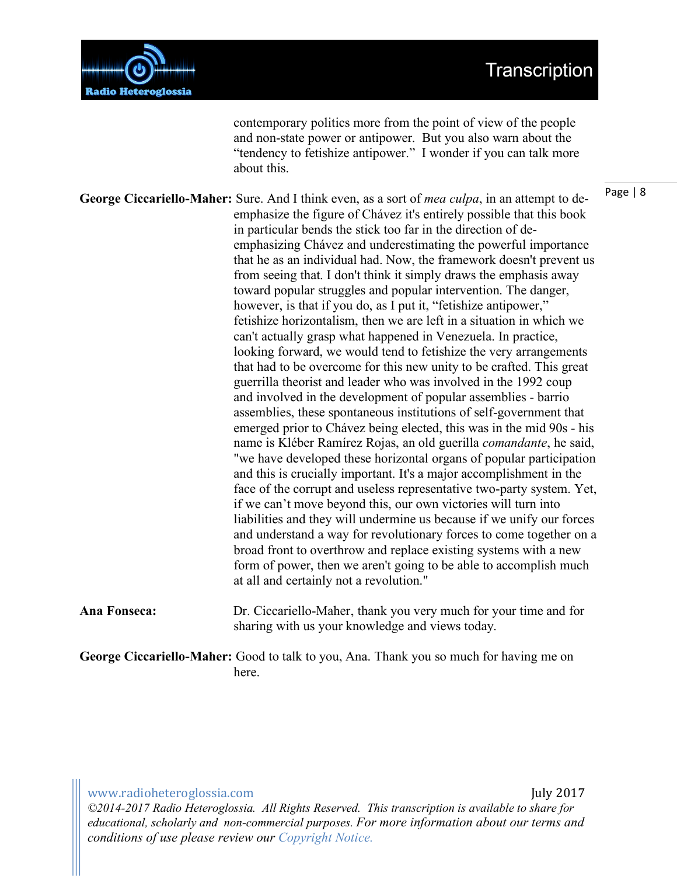

contemporary politics more from the point of view of the people and non-state power or antipower. But you also warn about the "tendency to fetishize antipower." I wonder if you can talk more about this.

**George Ciccariello-Maher:** Sure. And I think even, as a sort of *mea culpa*, in an attempt to deemphasize the figure of Chávez it's entirely possible that this book in particular bends the stick too far in the direction of deemphasizing Chávez and underestimating the powerful importance that he as an individual had. Now, the framework doesn't prevent us from seeing that. I don't think it simply draws the emphasis away toward popular struggles and popular intervention. The danger, however, is that if you do, as I put it, "fetishize antipower." fetishize horizontalism, then we are left in a situation in which we can't actually grasp what happened in Venezuela. In practice, looking forward, we would tend to fetishize the very arrangements that had to be overcome for this new unity to be crafted. This great guerrilla theorist and leader who was involved in the 1992 coup and involved in the development of popular assemblies - barrio assemblies, these spontaneous institutions of self-government that emerged prior to Chávez being elected, this was in the mid 90s - his name is Kléber Ramírez Rojas, an old guerilla *comandante*, he said, "we have developed these horizontal organs of popular participation and this is crucially important. It's a major accomplishment in the face of the corrupt and useless representative two-party system. Yet, if we can't move beyond this, our own victories will turn into liabilities and they will undermine us because if we unify our forces and understand a way for revolutionary forces to come together on a broad front to overthrow and replace existing systems with a new form of power, then we aren't going to be able to accomplish much at all and certainly not a revolution."

**Ana Fonseca:** Dr. Ciccariello-Maher, thank you very much for your time and for sharing with us your knowledge and views today.

**George Ciccariello-Maher:** Good to talk to you, Ana. Thank you so much for having me on here.

www.radioheteroglossia.com July 2017 *©2014-2017 Radio Heteroglossia. All Rights Reserved. This transcription is available to share for educational, scholarly and non-commercial purposes. For more information about our terms and conditions of use please review our Copyright Notice.*